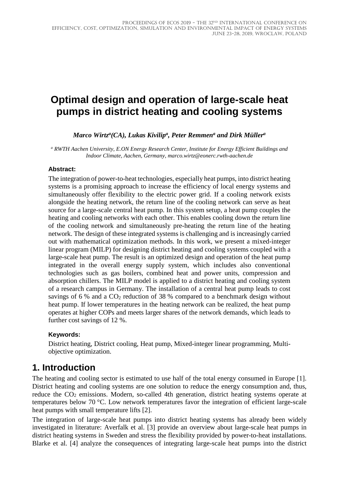# **Optimal design and operation of large-scale heat pumps in district heating and cooling systems**

*Marco Wirtz<sup>a</sup>(CA), Lukas Kivilip<sup>a</sup>, Peter Remmen<sup>a</sup> and Dirk Müller<sup>a</sup>* 

*<sup>a</sup> RWTH Aachen University, E.ON Energy Research Center, Institute for Energy Efficient Buildings and Indoor Climate, Aachen, Germany, marco.wirtz@eonerc.rwth-aachen.de*

#### **Abstract:**

The integration of power-to-heat technologies, especially heat pumps, into district heating systems is a promising approach to increase the efficiency of local energy systems and simultaneously offer flexibility to the electric power grid. If a cooling network exists alongside the heating network, the return line of the cooling network can serve as heat source for a large-scale central heat pump. In this system setup, a heat pump couples the heating and cooling networks with each other. This enables cooling down the return line of the cooling network and simultaneously pre-heating the return line of the heating network. The design of these integrated systems is challenging and is increasingly carried out with mathematical optimization methods. In this work, we present a mixed-integer linear program (MILP) for designing district heating and cooling systems coupled with a large-scale heat pump. The result is an optimized design and operation of the heat pump integrated in the overall energy supply system, which includes also conventional technologies such as gas boilers, combined heat and power units, compression and absorption chillers. The MILP model is applied to a district heating and cooling system of a research campus in Germany. The installation of a central heat pump leads to cost savings of 6 % and a  $CO<sub>2</sub>$  reduction of 38 % compared to a benchmark design without heat pump. If lower temperatures in the heating network can be realized, the heat pump operates at higher COPs and meets larger shares of the network demands, which leads to further cost savings of 12 %.

#### **Keywords:**

District heating, District cooling, Heat pump, Mixed-integer linear programming, Multiobjective optimization.

# **1. Introduction**

The heating and cooling sector is estimated to use half of the total energy consumed in Europe [1]. District heating and cooling systems are one solution to reduce the energy consumption and, thus, reduce the CO<sub>2</sub> emissions. Modern, so-called 4th generation, district heating systems operate at temperatures below 70 °C. Low network temperatures favor the integration of efficient large-scale heat pumps with small temperature lifts [2].

The integration of large-scale heat pumps into district heating systems has already been widely investigated in literature: Averfalk et al. [3] provide an overview about large-scale heat pumps in district heating systems in Sweden and stress the flexibility provided by power-to-heat installations. Blarke et al. [4] analyze the consequences of integrating large-scale heat pumps into the district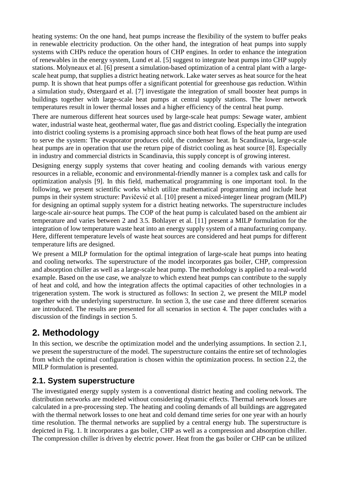heating systems: On the one hand, heat pumps increase the flexibility of the system to buffer peaks in renewable electricity production. On the other hand, the integration of heat pumps into supply systems with CHPs reduce the operation hours of CHP engines. In order to enhance the integration of renewables in the energy system, Lund et al. [5] suggest to integrate heat pumps into CHP supply stations. Molyneaux et al. [6] present a simulation-based optimization of a central plant with a largescale heat pump, that supplies a district heating network. Lake water serves as heat source for the heat pump. It is shown that heat pumps offer a significant potential for greenhouse gas reduction. Within a simulation study, Østergaard et al. [7] investigate the integration of small booster heat pumps in buildings together with large-scale heat pumps at central supply stations. The lower network temperatures result in lower thermal losses and a higher efficiency of the central heat pump.

There are numerous different heat sources used by large-scale heat pumps: Sewage water, ambient water, industrial waste heat, geothermal water, flue gas and district cooling. Especially the integration into district cooling systems is a promising approach since both heat flows of the heat pump are used to serve the system: The evaporator produces cold, the condenser heat. In Scandinavia, large-scale heat pumps are in operation that use the return pipe of district cooling as heat source [8]. Especially in industry and commercial districts in Scandinavia, this supply concept is of growing interest.

Designing energy supply systems that cover heating and cooling demands with various energy resources in a reliable, economic and environmental-friendly manner is a complex task and calls for optimization analysis [9]. In this field, mathematical programming is one important tool. In the following, we present scientific works which utilize mathematical programming and include heat pumps in their system structure: Pavičević et al. [10] present a mixed-integer linear program (MILP) for designing an optimal supply system for a district heating networks. The superstructure includes large-scale air-source heat pumps. The COP of the heat pump is calculated based on the ambient air temperature and varies between 2 and 3.5. Bohlayer et al. [11] present a MILP formulation for the integration of low temperature waste heat into an energy supply system of a manufacturing company. Here, different temperature levels of waste heat sources are considered and heat pumps for different temperature lifts are designed.

We present a MILP formulation for the optimal integration of large-scale heat pumps into heating and cooling networks. The superstructure of the model incorporates gas boiler, CHP, compression and absorption chiller as well as a large-scale heat pump. The methodology is applied to a real-world example. Based on the use case, we analyze to which extend heat pumps can contribute to the supply of heat and cold, and how the integration affects the optimal capacities of other technologies in a trigeneration system. The work is structured as follows: In section 2, we present the MILP model together with the underlying superstructure. In section 3, the use case and three different scenarios are introduced. The results are presented for all scenarios in section 4. The paper concludes with a discussion of the findings in section 5.

# **2. Methodology**

In this section, we describe the optimization model and the underlying assumptions. In section 2.1, we present the superstructure of the model. The superstructure contains the entire set of technologies from which the optimal configuration is chosen within the optimization process. In section 2.2, the MILP formulation is presented.

## **2.1. System superstructure**

The investigated energy supply system is a conventional district heating and cooling network. The distribution networks are modeled without considering dynamic effects. Thermal network losses are calculated in a pre-processing step. The heating and cooling demands of all buildings are aggregated with the thermal network losses to one heat and cold demand time series for one year with an hourly time resolution. The thermal networks are supplied by a central energy hub. The superstructure is depicted in Fig. 1. It incorporates a gas boiler, CHP as well as a compression and absorption chiller. The compression chiller is driven by electric power. Heat from the gas boiler or CHP can be utilized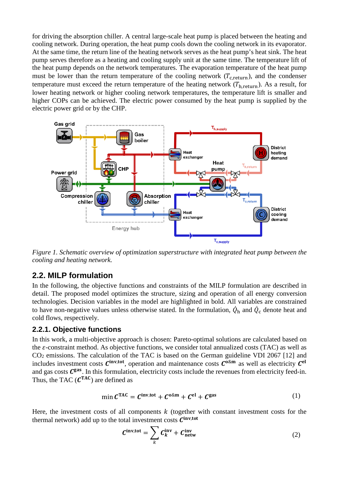for driving the absorption chiller. A central large-scale heat pump is placed between the heating and cooling network. During operation, the heat pump cools down the cooling network in its evaporator. At the same time, the return line of the heating network serves as the heat pump's heat sink. The heat pump serves therefore as a heating and cooling supply unit at the same time. The temperature lift of the heat pump depends on the network temperatures. The evaporation temperature of the heat pump must be lower than the return temperature of the cooling network  $(T_{c,return})$ , and the condenser temperature must exceed the return temperature of the heating network  $(T<sub>h. return</sub>)$ . As a result, for lower heating network or higher cooling network temperatures, the temperature lift is smaller and higher COPs can be achieved. The electric power consumed by the heat pump is supplied by the electric power grid or by the CHP.



*Figure 1. Schematic overview of optimization superstructure with integrated heat pump between the cooling and heating network.* 

### **2.2. MILP formulation**

In the following, the objective functions and constraints of the MILP formulation are described in detail. The proposed model optimizes the structure, sizing and operation of all energy conversion technologies. Decision variables in the model are highlighted in bold. All variables are constrained to have non-negative values unless otherwise stated. In the formulation,  $\dot{Q}_{h}$  and  $\dot{Q}_{c}$  denote heat and cold flows, respectively.

#### **2.2.1. Objective functions**

In this work, a multi-objective approach is chosen: Pareto-optimal solutions are calculated based on the  $\varepsilon$ -constraint method. As objective functions, we consider total annualized costs (TAC) as well as CO2 emissions. The calculation of the TAC is based on the German guideline VDI 2067 [12] and includes investment costs  $C^{\text{inv,tot}}$ , operation and maintenance costs  $C^{\text{o}\&\text{m}}$  as well as electricity  $C^{\text{el}}$ and gas costs  $C<sup>gas</sup>$ . In this formulation, electricity costs include the revenues from electricity feed-in. Thus, the TAC  $(C^{TAC})$  are defined as

$$
\min \mathcal{C}^{\text{TAC}} = \mathcal{C}^{\text{inv,tot}} + \mathcal{C}^{\text{0\&m}} + \mathcal{C}^{\text{el}} + \mathcal{C}^{\text{gas}} \tag{1}
$$

Here, the investment costs of all components  $k$  (together with constant investment costs for the thermal network) add up to the total investment costs  $C^{\text{inv,tot}}$ 

$$
C^{\text{inv,tot}} = \sum_{k} C^{\text{inv}}_{k} + C^{\text{inv}}_{\text{network}}
$$
 (2)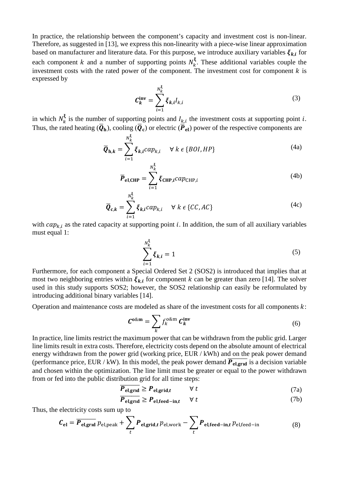In practice, the relationship between the component's capacity and investment cost is non-linear. Therefore, as suggested in [13], we express this non-linearity with a piece-wise linear approximation based on manufacturer and literature data. For this purpose, we introduce auxiliary variables  $\xi_{k,i}$  for each component k and a number of supporting points  $N_k^{\xi}$ . These additional variables couple the investment costs with the rated power of the component. The investment cost for component  $k$  is expressed by

$$
\mathcal{C}_k^{\text{inv}} = \sum_{i=1}^{N_k^{\xi}} \xi_{k,i} I_{k,i}
$$
 (3)

in which  $N_k^{\xi}$  is the number of supporting points and  $I_{k,i}$  the investment costs at supporting point *i*. Thus, the rated heating  $(\bar{Q}_h)$ , cooling  $(\bar{Q}_c)$  or electric  $(\bar{P}_{el})$  power of the respective components are

$$
\overline{\boldsymbol{Q}}_{\mathbf{h},k} = \sum_{i=1}^{N_k^{\xi}} \xi_{k,i} cap_{k,i} \quad \forall k \in \{BOL, HP\}
$$
\n(4a)

$$
\overline{P}_{el,CHP} = \sum_{i=1}^{N_k^{\xi}} \xi_{CHP,i} cap_{CHP,i}
$$
(4b)

$$
\overline{Q}_{c,k} = \sum_{i=1}^{N_k^2} \xi_{k,i} cap_{k,i} \quad \forall k \in \{CC, AC\}
$$
 (4c)

with  $cap_{k,i}$  as the rated capacity at supporting point *i*. In addition, the sum of all auxiliary variables must equal 1:

$$
\sum_{i=1}^{N_k^{\xi}} \xi_{k,i} = 1
$$
 (5)

Furthermore, for each component a Special Ordered Set 2 (SOS2) is introduced that implies that at most two neighboring entries within  $\xi_{ki}$  for component k can be greater than zero [14]. The solver used in this study supports SOS2; however, the SOS2 relationship can easily be reformulated by introducing additional binary variables [14].

Operation and maintenance costs are modeled as share of the investment costs for all components  $k$ :

$$
\mathcal{C}^{0\& m} = \sum_{k} f_k^{0\& m} \mathcal{C}_k^{inv} \tag{6}
$$

In practice, line limits restrict the maximum power that can be withdrawn from the public grid. Larger line limits result in extra costs. Therefore, electricity costs depend on the absolute amount of electrical energy withdrawn from the power grid (working price, EUR / kWh) and on the peak power demand (performance price, EUR / kW). In this model, the peak power demand  $\overline{P_{el,grid}}$  is a decision variable and chosen within the optimization. The line limit must be greater or equal to the power withdrawn from or fed into the public distribution grid for all time steps:

$$
\overline{P_{\text{el,grid}}} \ge P_{\text{el,grid},t} \qquad \forall \ t \tag{7a}
$$

$$
\overline{P_{\text{el,grud}}} \ge P_{\text{el,feed-in},t} \quad \forall \ t \tag{7b}
$$

Thus, the electricity costs sum up to

$$
C_{\rm el} = \overline{P_{\rm el,grid}} \, p_{\rm el,peak} + \sum_{t} P_{\rm el,grid,t} \, p_{\rm el,work} - \sum_{t} P_{\rm el,feed-in,t} \, p_{\rm el,feed-in} \tag{8}
$$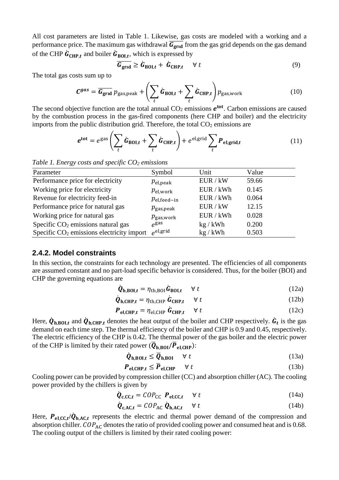All cost parameters are listed in [Table 1.](#page-4-0) Likewise, gas costs are modeled with a working and a performance price. The maximum gas withdrawal  $\overline{G_{\text{grnd}}}$  from the gas grid depends on the gas demand of the CHP  $\mathbf{G}_{\text{CHP},t}$  and boiler  $\mathbf{G}_{\text{BOL},t}$ , which is expressed by

$$
\overline{G_{\text{grnd}}} \ge \dot{G}_{\text{BOL},t} + \dot{G}_{\text{CHP},t} \quad \forall \ t \tag{9}
$$

The total gas costs sum up to

$$
\mathbf{C}^{gas} = \overline{\mathbf{G}_{\text{grid}}} \ p_{\text{gas,peak}} + \left(\sum_{t} \dot{\mathbf{G}}_{\text{BOL},t} + \sum_{t} \dot{\mathbf{G}}_{\text{CHP},t}\right) p_{\text{gas,work}}
$$
(10)

The second objective function are the total annual  $CO<sub>2</sub>$  emissions  $e<sup>tot</sup>$ . Carbon emissions are caused by the combustion process in the gas-fired components (here CHP and boiler) and the electricity imports from the public distribution grid. Therefore, the total  $CO<sub>2</sub>$  emissions are

$$
e^{\text{tot}} = e^{\text{gas}} \left( \sum_{t} \dot{G}_{\text{BOL},t} + \sum_{t} \dot{G}_{\text{CHP},t} \right) + e^{\text{el,grid}} \sum_{t} P_{\text{el,grid},t}
$$
 (11)

<span id="page-4-0"></span>*Table 1. Energy costs and specific CO2 emissions*

| Parameter                                   | Symbol                 | Unit      | Value |
|---------------------------------------------|------------------------|-----------|-------|
| Performance price for electricity           | $p_{el,peak}$          | EUR / kW  | 59.66 |
| Working price for electricity               | $p_{\mathrm{el,work}}$ | EUR / kWh | 0.145 |
| Revenue for electricity feed-in             | $p_{el,feed-in}$       | EUR / kWh | 0.064 |
| Performance price for natural gas           | $p_{\text{gas,peak}}$  | EUR / kW  | 12.15 |
| Working price for natural gas               | $p_{\rm gas, work}$    | EUR / kWh | 0.028 |
| Specific $CO2$ emissions natural gas        | $e^{gas}$              | kg / kWh  | 0.200 |
| Specific $CO2$ emissions electricity import | $e^{\text{el,grid}}$   | kg / kWh  | 0.503 |

#### **2.4.2. Model constraints**

In this section, the constraints for each technology are presented. The efficiencies of all components are assumed constant and no part-load specific behavior is considered. Thus, for the boiler (BOI) and CHP the governing equations are

$$
\dot{\boldsymbol{Q}}_{\mathbf{h},\mathbf{BOL}} = \eta_{\mathbf{th},\mathbf{BOL}} \dot{\boldsymbol{G}}_{\mathbf{BOL}} \qquad \forall \ t \tag{12a}
$$

$$
\dot{\boldsymbol{Q}}_{\mathbf{h},\mathbf{CHP},t} = \eta_{\mathbf{th},\mathbf{CHP}} \, \dot{\boldsymbol{G}}_{\mathbf{CHP},t} \quad \forall \ t \tag{12b}
$$

$$
\boldsymbol{P}_{\text{el,CHP},t} = \eta_{\text{el,CHP}} \, \boldsymbol{\hat{G}}_{\text{CHP},t} \quad \forall \, t \tag{12c}
$$

Here,  $\dot{Q}_{h,B0I,t}$  and  $\dot{Q}_{h,CHP,t}$  denotes the heat output of the boiler and CHP respectively.  $\dot{G}_t$  is the gas demand on each time step. The thermal efficiency of the boiler and CHP is 0.9 and 0.45, respectively. The electric efficiency of the CHP is 0.42. The thermal power of the gas boiler and the electric power of the CHP is limited by their rated power ( $\overline{Q}_{h\,ROI}/\overline{P}_{eI\,CHP}$ ):

$$
\dot{\boldsymbol{Q}}_{h,BOL,t} \leq \overline{\boldsymbol{Q}}_{h,BOL} \quad \forall \ t \tag{13a}
$$

$$
\boldsymbol{P}_{\text{el,CHP},t} \leq \overline{\boldsymbol{P}}_{\text{el,CHP}} \qquad \forall \ t \tag{13b}
$$

Cooling power can be provided by compression chiller (CC) and absorption chiller (AC). The cooling power provided by the chillers is given by

$$
\dot{\boldsymbol{Q}}_{\text{c,CC},t} = COP_{\text{CC}} \ \boldsymbol{P}_{\text{el,CC},t} \quad \forall \ t \tag{14a}
$$

$$
\dot{\boldsymbol{Q}}_{\text{c,AC},t} = \text{COP}_{\text{AC}} \, \dot{\boldsymbol{Q}}_{\text{h,AC},t} \quad \forall \ t \tag{14b}
$$

Here,  $P_{el, CC, t}/\dot{Q}_{h, AC, t}$  represents the electric and thermal power demand of the compression and absorption chiller.  $COP_{AC}$  denotes the ratio of provided cooling power and consumed heat and is 0.68. The cooling output of the chillers is limited by their rated cooling power: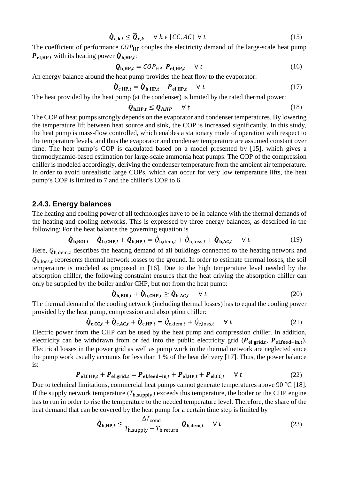$$
\dot{\boldsymbol{Q}}_{c,k,t} \leq \overline{\boldsymbol{Q}}_{c,k} \quad \forall \ k \ \epsilon \ \{CC, AC\} \ \forall \ t \tag{15}
$$

The coefficient of performance  $\text{COP}_{\text{HP}}$  couples the electricity demand of the large-scale heat pump  $P_{el,HP,t}$  with its heating power  $\dot{Q}_{h,HP,t}$ :

$$
\dot{\boldsymbol{Q}}_{h,HP,t} = \text{COP}_{HP} \ \boldsymbol{P}_{el,HP,t} \quad \forall \ t \tag{16}
$$

An energy balance around the heat pump provides the heat flow to the evaporator:

$$
\dot{\boldsymbol{Q}}_{\mathrm{c,HP},t} = \dot{\boldsymbol{Q}}_{\mathrm{h,HP},t} - \boldsymbol{P}_{\mathrm{el,HP},t} \quad \forall \ t \tag{17}
$$

The heat provided by the heat pump (at the condenser) is limited by the rated thermal power:

$$
\dot{Q}_{h,HP,t} \le \overline{Q}_{h,HP} \quad \forall \ t \tag{18}
$$

The COP of heat pumps strongly depends on the evaporator and condenser temperatures. By lowering the temperature lift between heat source and sink, the COP is increased significantly. In this study, the heat pump is mass-flow controlled, which enables a stationary mode of operation with respect to the temperature levels, and thus the evaporator and condenser temperature are assumed constant over time. The heat pump's COP is calculated based on a model presented by [15], which gives a thermodynamic-based estimation for large-scale ammonia heat pumps. The COP of the compression chiller is modeled accordingly, deriving the condenser temperature from the ambient air temperature. In order to avoid unrealistic large COPs, which can occur for very low temperature lifts, the heat pump's COP is limited to 7 and the chiller's COP to 6.

#### **2.4.3. Energy balances**

The heating and cooling power of all technologies have to be in balance with the thermal demands of the heating and cooling networks. This is expressed by three energy balances, as described in the following: For the heat balance the governing equation is

$$
\dot{\boldsymbol{Q}}_{\mathbf{h},\mathbf{BOL},t} + \dot{\boldsymbol{Q}}_{\mathbf{h},\mathbf{CHP},t} + \dot{\boldsymbol{Q}}_{\mathbf{h},\mathbf{HP},t} = \dot{\boldsymbol{Q}}_{\mathbf{h},\text{dem},t} + \dot{\boldsymbol{Q}}_{\mathbf{h},\text{loss},t} + \dot{\boldsymbol{Q}}_{\mathbf{h},\mathbf{AC},t} \quad \forall t
$$
\n(19)

Here,  $Q_{h, dem, t}$  describes the heating demand of all buildings connected to the heating network and  $\dot{Q}_{h,loss,t}$  represents thermal network losses to the ground. In order to estimate thermal losses, the soil temperature is modeled as proposed in [16]. Due to the high temperature level needed by the absorption chiller, the following constraint ensures that the heat driving the absorption chiller can only be supplied by the boiler and/or CHP, but not from the heat pump:

$$
\dot{\boldsymbol{Q}}_{\mathbf{h},\mathbf{BOL}} + \dot{\boldsymbol{Q}}_{\mathbf{h},\mathbf{CHP},t} \ge \dot{\boldsymbol{Q}}_{\mathbf{h},\mathbf{AC},t} \quad \forall t
$$
\n(20)

The thermal demand of the cooling network (including thermal losses) has to equal the cooling power provided by the heat pump, compression and absorption chiller:

$$
\dot{\boldsymbol{Q}}_{\text{c,CC},t} + \dot{\boldsymbol{Q}}_{\text{c,AC},t} + \dot{\boldsymbol{Q}}_{\text{c,HP},t} = \dot{Q}_{\text{c,dem},t} + \dot{Q}_{\text{c,loss},t} \quad \forall t
$$
\n(21)

Electric power from the CHP can be used by the heat pump and compression chiller. In addition, electricity can be withdrawn from or fed into the public electricity grid ( $P_{el,grid,t}$ ,  $P_{el,feed-in,t}$ ). Electrical losses in the power grid as well as pump work in the thermal network are neglected since the pump work usually accounts for less than 1 % of the heat delivery [17]. Thus, the power balance is:

$$
\boldsymbol{P}_{el,CHP,t} + \boldsymbol{P}_{el,grid,t} = \boldsymbol{P}_{el,feed-in,t} + \boldsymbol{P}_{el,HP,t} + \boldsymbol{P}_{el,CC,t} \quad \forall \ t \tag{22}
$$

Due to technical limitations, commercial heat pumps cannot generate temperatures above 90 °C [18]. If the supply network temperature  $(T_{h, \text{supply}})$  exceeds this temperature, the boiler or the CHP engine has to run in order to rise the temperature to the needed temperature level. Therefore, the share of the heat demand that can be covered by the heat pump for a certain time step is limited by

$$
\dot{\boldsymbol{Q}}_{\mathbf{h},\mathbf{HP},t} \le \frac{\Delta T_{\text{cond}}}{T_{\mathbf{h},\text{supply}} - T_{\mathbf{h},\text{return}}}\ \dot{\boldsymbol{Q}}_{\mathbf{h},\mathbf{dem},t} \quad \forall \ t \tag{23}
$$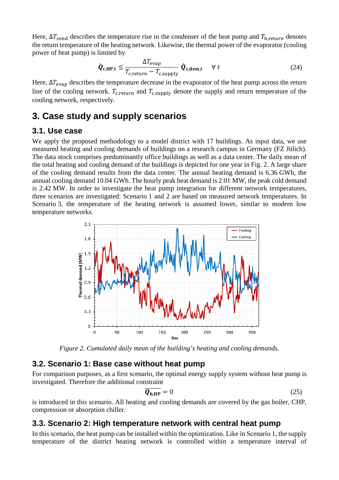Here,  $\Delta T_{\text{cond}}$  describes the temperature rise in the condenser of the heat pump and  $T_{\text{h. return}}$  denotes the return temperature of the heating network. Likewise, the thermal power of the evaporator (cooling power of heat pump) is limited by

$$
\dot{\boldsymbol{Q}}_{\mathbf{c},\mathbf{HP},t} \leq \frac{\Delta T_{\text{evap}}}{T_{\text{c},\text{return}} - T_{\text{c,supply}}} \dot{\boldsymbol{Q}}_{\mathbf{c},\mathbf{dem},t} \quad \forall t
$$
\n(24)

Here,  $\Delta T_{evap}$  describes the temperature decrease in the evaporator of the heat pump across the return line of the cooling network.  $T_{c,\text{return}}$  and  $T_{c,\text{supply}}$  denote the supply and return temperature of the cooling network, respectively.

## **3. Case study and supply scenarios**

#### **3.1. Use case**

We apply the proposed methodology to a model district with 17 buildings. As input data, we use measured heating and cooling demands of buildings on a research campus in Germany (FZ Jülich). The data stock comprises predominantly office buildings as well as a data center. The daily mean of the total heating and cooling demand of the buildings is depicted for one year in Fig. 2. A large share of the cooling demand results from the data center. The annual heating demand is 6.36 GWh, the annual cooling demand 10.04 GWh. The hourly peak heat demand is 2.01 MW, the peak cold demand is 2.42 MW. In order to investigate the heat pump integration for different network temperatures, three scenarios are investigated: Scenario 1 and 2 are based on measured network temperatures. In Scenario 3, the temperature of the heating network is assumed lower, similar to modern low temperature networks.



*Figure 2. Cumulated daily mean of the building's heating and cooling demands.*

#### **3.2. Scenario 1: Base case without heat pump**

For comparison purposes, as a first scenario, the optimal energy supply system without heat pump is investigated. Therefore the additional constraint

$$
\overline{Q_{h,HP}} = 0 \tag{25}
$$

is introduced in this scenario. All heating and cooling demands are covered by the gas boiler, CHP, compression or absorption chiller.

### **3.3. Scenario 2: High temperature network with central heat pump**

In this scenario, the heat pump can be installed within the optimization. Like in Scenario 1, the supply temperature of the district heating network is controlled within a temperature interval of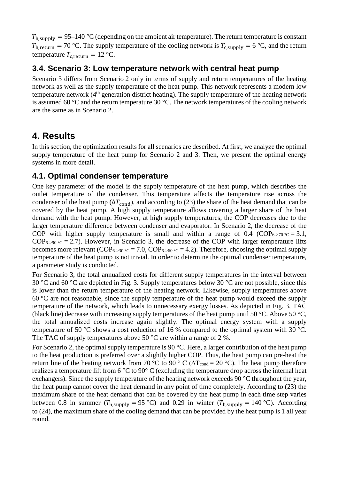$T_{\rm h,sunply} = 95-140$  °C (depending on the ambient air temperature). The return temperature is constant  $T_{h,return} = 70$  °C. The supply temperature of the cooling network is  $T_{c,supply} = 6$  °C, and the return temperature  $T_{\text{c return}} = 12 \text{ °C}$ .

### **3.4. Scenario 3: Low temperature network with central heat pump**

Scenario 3 differs from Scenario 2 only in terms of supply and return temperatures of the heating network as well as the supply temperature of the heat pump. This network represents a modern low temperature network (4<sup>th</sup> generation district heating). The supply temperature of the heating network is assumed 60 °C and the return temperature 30 °C. The network temperatures of the cooling network are the same as in Scenario 2.

## **4. Results**

In this section, the optimization results for all scenarios are described. At first, we analyze the optimal supply temperature of the heat pump for Scenario 2 and 3. Then, we present the optimal energy systems in more detail.

### **4.1. Optimal condenser temperature**

One key parameter of the model is the supply temperature of the heat pump, which describes the outlet temperature of the condenser. This temperature affects the temperature rise across the condenser of the heat pump ( $\Delta T_{\text{cond}}$ ), and according to (23) the share of the heat demand that can be covered by the heat pump. A high supply temperature allows covering a larger share of the heat demand with the heat pump. However, at high supply temperatures, the COP decreases due to the larger temperature difference between condenser and evaporator. In Scenario 2, the decrease of the COP with higher supply temperature is small and within a range of 0.4 (COP<sub>6->70</sub>  $\degree$ c = 3.1,  $COP_{6-90}$  °C = 2.7). However, in Scenario 3, the decrease of the COP with larger temperature lifts becomes more relevant (COP<sub>6->30</sub>  $\degree$ c = 7.0, COP<sub>6->60</sub>  $\degree$ c = 4.2). Therefore, choosing the optimal supply temperature of the heat pump is not trivial. In order to determine the optimal condenser temperature, a parameter study is conducted.

For Scenario 3, the total annualized costs for different supply temperatures in the interval between 30 °C and 60 °C are depicted in Fig. 3. Supply temperatures below 30 °C are not possible, since this is lower than the return temperature of the heating network. Likewise, supply temperatures above  $60^{\circ}$ C are not reasonable, since the supply temperature of the heat pump would exceed the supply temperature of the network, which leads to unnecessary exergy losses. As depicted in Fig. 3, TAC (black line) decrease with increasing supply temperatures of the heat pump until 50 °C. Above 50 °C, the total annualized costs increase again slightly. The optimal energy system with a supply temperature of 50 °C shows a cost reduction of 16 % compared to the optimal system with 30 °C. The TAC of supply temperatures above 50 °C are within a range of 2 %.

For Scenario 2, the optimal supply temperature is 90 °C. Here, a larger contribution of the heat pump to the heat production is preferred over a slightly higher COP. Thus, the heat pump can pre-heat the return line of the heating network from 70 °C to 90 ° C ( $\Delta T_{\text{cond}} = 20$  °C). The heat pump therefore realizes a temperature lift from 6 °C to 90° C (excluding the temperature drop across the internal heat exchangers). Since the supply temperature of the heating network exceeds 90 °C throughout the year, the heat pump cannot cover the heat demand in any point of time completely. According to (23) the maximum share of the heat demand that can be covered by the heat pump in each time step varies between 0.8 in summer ( $T_{\text{h,subply}} = 95 \text{ °C}$ ) and 0.29 in winter ( $T_{\text{h,subply}} = 140 \text{ °C}$ ). According to (24), the maximum share of the cooling demand that can be provided by the heat pump is 1 all year round.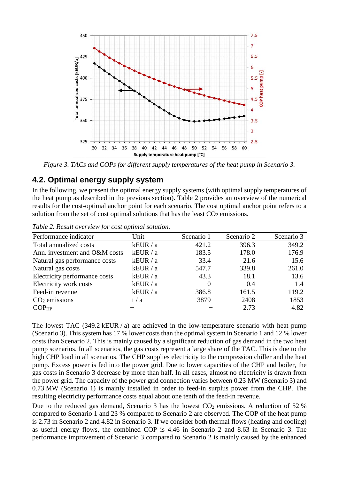

*Figure 3. TACs and COPs for different supply temperatures of the heat pump in Scenario 3.*

### **4.2. Optimal energy supply system**

In the following, we present the optimal energy supply systems (with optimal supply temperatures of the heat pump as described in the previous section). [Table 2](#page-8-0) provides an overview of the numerical results for the cost-optimal anchor point for each scenario. The cost optimal anchor point refers to a solution from the set of cost optimal solutions that has the least  $CO<sub>2</sub>$  emissions.

| Performance indicator         | Unit     | Scenario 1 | Scenario 2 | Scenario 3 |
|-------------------------------|----------|------------|------------|------------|
| Total annualized costs        | kEUR / a | 421.2      | 396.3      | 349.2      |
| Ann. investment and O&M costs | kEUR / a | 183.5      | 178.0      | 176.9      |
| Natural gas performance costs | kEUR / a | 33.4       | 21.6       | 15.6       |
| Natural gas costs             | kEUR / a | 547.7      | 339.8      | 261.0      |
| Electricity performance costs | kEUR / a | 43.3       | 18.1       | 13.6       |
| Electricity work costs        | kEUR / a | 0          | 0.4        | 1.4        |
| Feed-in revenue               | kEUR / a | 386.8      | 161.5      | 119.2      |
| $CO2$ emissions               | t/a      | 3879       | 2408       | 1853       |
| COP <sub>HP</sub>             |          |            | 2.73       | 4.82       |

<span id="page-8-0"></span>*Table 2. Result overview for cost optimal solution.*

The lowest TAC (349.2 kEUR / a) are achieved in the low-temperature scenario with heat pump (Scenario 3). This system has 17 % lower costs than the optimal system in Scenario 1 and 12 % lower costs than Scenario 2. This is mainly caused by a significant reduction of gas demand in the two heat pump scenarios. In all scenarios, the gas costs represent a large share of the TAC. This is due to the high CHP load in all scenarios. The CHP supplies electricity to the compression chiller and the heat pump. Excess power is fed into the power grid. Due to lower capacities of the CHP and boiler, the gas costs in Scenario 3 decrease by more than half. In all cases, almost no electricity is drawn from the power grid. The capacity of the power grid connection varies between 0.23 MW (Scenario 3) and 0.73 MW (Scenario 1) is mainly installed in order to feed-in surplus power from the CHP. The resulting electricity performance costs equal about one tenth of the feed-in revenue.

Due to the reduced gas demand, Scenario 3 has the lowest  $CO<sub>2</sub>$  emissions. A reduction of 52 % compared to Scenario 1 and 23 % compared to Scenario 2 are observed. The COP of the heat pump is 2.73 in Scenario 2 and 4.82 in Scenario 3. If we consider both thermal flows (heating and cooling) as useful energy flows, the combined COP is 4.46 in Scenario 2 and 8.63 in Scenario 3. The performance improvement of Scenario 3 compared to Scenario 2 is mainly caused by the enhanced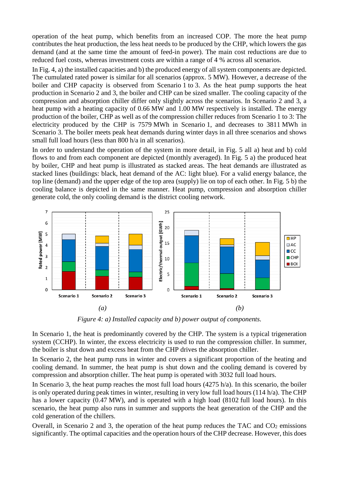operation of the heat pump, which benefits from an increased COP. The more the heat pump contributes the heat production, the less heat needs to be produced by the CHP, which lowers the gas demand (and at the same time the amount of feed-in power). The main cost reductions are due to reduced fuel costs, whereas investment costs are within a range of 4 % across all scenarios.

In Fig. 4, a) the installed capacities and b) the produced energy of all system components are depicted. The cumulated rated power is similar for all scenarios (approx. 5 MW). However, a decrease of the boiler and CHP capacity is observed from Scenario 1 to 3. As the heat pump supports the heat production in Scenario 2 and 3, the boiler and CHP can be sized smaller. The cooling capacity of the compression and absorption chiller differ only slightly across the scenarios. In Scenario 2 and 3, a heat pump with a heating capacity of 0.66 MW and 1.00 MW respectively is installed. The energy production of the boiler, CHP as well as of the compression chiller reduces from Scenario 1 to 3: The electricity produced by the CHP is 7579 MWh in Scenario 1, and decreases to 3811 MWh in Scenario 3. The boiler meets peak heat demands during winter days in all three scenarios and shows small full load hours (less than 800 h/a in all scenarios).

In order to understand the operation of the system in more detail, in Fig. 5 all a) heat and b) cold flows to and from each component are depicted (monthly averaged). In Fig. 5 a) the produced heat by boiler, CHP and heat pump is illustrated as stacked areas. The heat demands are illustrated as stacked lines (buildings: black, heat demand of the AC: light blue). For a valid energy balance, the top line (demand) and the upper edge of the top area (supply) lie on top of each other. In Fig. 5 b) the cooling balance is depicted in the same manner. Heat pump, compression and absorption chiller generate cold, the only cooling demand is the district cooling network.



*Figure 4: a) Installed capacity and b) power output of components.*

In Scenario 1, the heat is predominantly covered by the CHP. The system is a typical trigeneration system (CCHP). In winter, the excess electricity is used to run the compression chiller. In summer, the boiler is shut down and excess heat from the CHP drives the absorption chiller.

In Scenario 2, the heat pump runs in winter and covers a significant proportion of the heating and cooling demand. In summer, the heat pump is shut down and the cooling demand is covered by compression and absorption chiller. The heat pump is operated with 3032 full load hours.

In Scenario 3, the heat pump reaches the most full load hours  $(4275 h/a)$ . In this scenario, the boiler is only operated during peak times in winter, resulting in very low full load hours (114 h/a). The CHP has a lower capacity (0.47 MW), and is operated with a high load (8102 full load hours). In this scenario, the heat pump also runs in summer and supports the heat generation of the CHP and the cold generation of the chillers.

Overall, in Scenario 2 and 3, the operation of the heat pump reduces the TAC and  $CO<sub>2</sub>$  emissions significantly. The optimal capacities and the operation hours of the CHP decrease. However, this does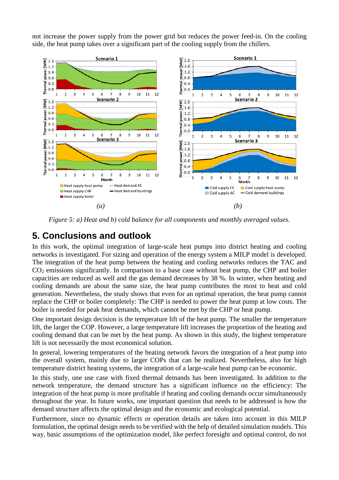not increase the power supply from the power grid but reduces the power feed-in. On the cooling side, the heat pump takes over a significant part of the cooling supply from the chillers.



*Figure 5: a) Heat and b) cold balance for all components and monthly averaged values.*

# **5. Conclusions and outlook**

In this work, the optimal integration of large-scale heat pumps into district heating and cooling networks is investigated. For sizing and operation of the energy system a MILP model is developed. The integration of the heat pump between the heating and cooling networks reduces the TAC and CO2 emissions significantly. In comparison to a base case without heat pump, the CHP and boiler capacities are reduced as well and the gas demand decreases by 38 %. In winter, when heating and cooling demands are about the same size, the heat pump contributes the most to heat and cold generation. Nevertheless, the study shows that even for an optimal operation, the heat pump cannot replace the CHP or boiler completely: The CHP is needed to power the heat pump at low costs. The boiler is needed for peak heat demands, which cannot be met by the CHP or heat pump.

One important design decision is the temperature lift of the heat pump. The smaller the temperature lift, the larger the COP. However, a large temperature lift increases the proportion of the heating and cooling demand that can be met by the heat pump. As shown in this study, the highest temperature lift is not necessarily the most economical solution.

In general, lowering temperatures of the heating network favors the integration of a heat pump into the overall system, mainly due to larger COPs that can be realized. Nevertheless, also for high temperature district heating systems, the integration of a large-scale heat pump can be economic.

In this study, one use case with fixed thermal demands has been investigated. In addition to the network temperature, the demand structure has a significant influence on the efficiency: The integration of the heat pump is more profitable if heating and cooling demands occur simultaneously throughout the year. In future works, one important question that needs to be addressed is how the demand structure affects the optimal design and the economic and ecological potential.

Furthermore, since no dynamic effects or operation details are taken into account in this MILP formulation, the optimal design needs to be verified with the help of detailed simulation models. This way, basic assumptions of the optimization model, like perfect foresight and optimal control, do not